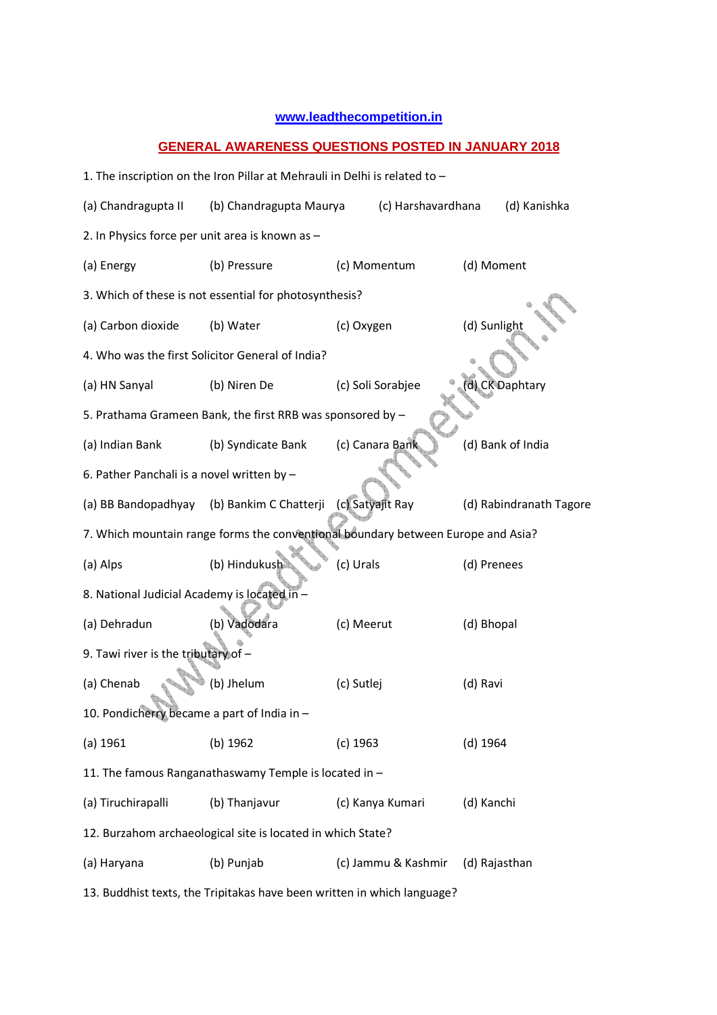## **www.leadthecompetition.in**

## **GENERAL AWARENESS QUESTIONS POSTED IN JANUARY 2018**

1. The inscription on the Iron Pillar at Mehrauli in Delhi is related to – (a) Chandragupta II (b) Chandragupta Maurya (c) Harshavardhana (d) Kanishka 2. In Physics force per unit area is known as – (a) Energy (b) Pressure (c) Momentum (d) Moment 3. Which of these is not essential for photosynthesis? (a) Carbon dioxide (b) Water (c) Oxygen (d) Sunlight 4. Who was the first Solicitor General of India? (a) HN Sanyal (b) Niren De (c) Soli Sorabjee (d) CK Daphtary 5. Prathama Grameen Bank, the first RRB was sponsored by – (a) Indian Bank (b) Syndicate Bank (c) Canara Bank (d) Bank of India 6. Pather Panchali is a novel written by – (a) BB Bandopadhyay (b) Bankim C Chatterji (c) Satyajit Ray (d) Rabindranath Tagore 7. Which mountain range forms the conventional boundary between Europe and Asia? (a) Alps (b) Hindukush (c) Urals (d) Prenees 8. National Judicial Academy is located in – (a) Dehradun (b) Vadodara (c) Meerut (d) Bhopal 9. Tawi river is the tributary of – (a) Chenab (b) Jhelum (c) Sutlej (d) Ravi 10. Pondicherry became a part of India in – (a) 1961 (b) 1962 (c) 1963 (d) 1964 11. The famous Ranganathaswamy Temple is located in – (a) Tiruchirapalli (b) Thanjavur (c) Kanya Kumari (d) Kanchi 12. Burzahom archaeological site is located in which State? (a) Haryana (b) Punjab (c) Jammu & Kashmir (d) Rajasthan

13. Buddhist texts, the Tripitakas have been written in which language?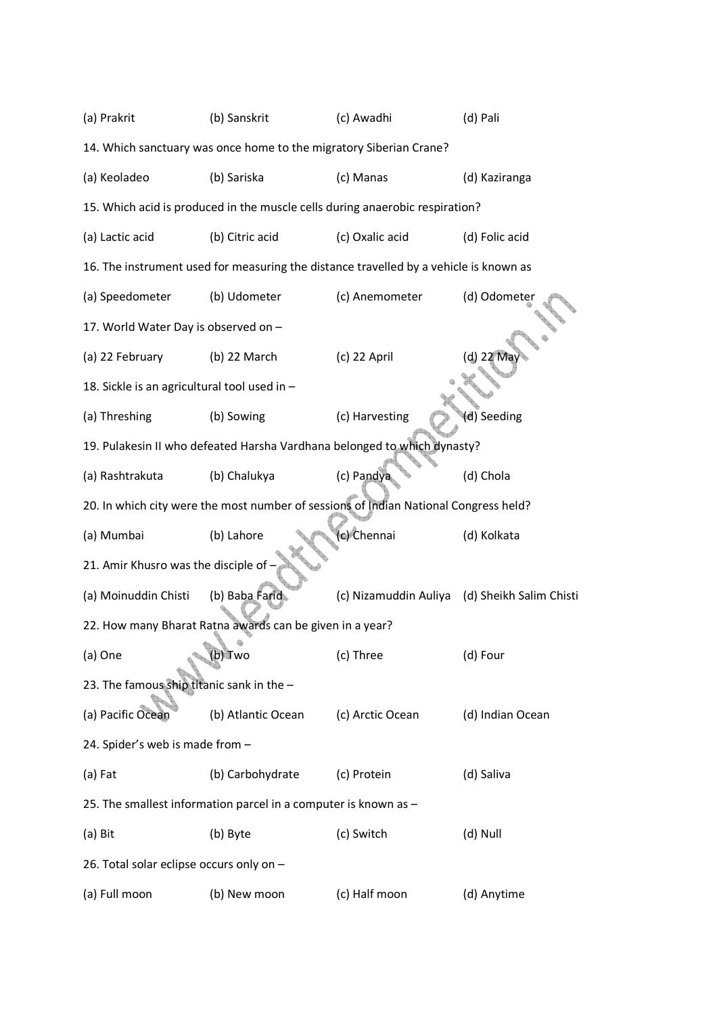| (a) Prakrit                                                        | (b) Sanskrit                                                                          | (c) Awadhi            | (d) Pali                |  |  |  |
|--------------------------------------------------------------------|---------------------------------------------------------------------------------------|-----------------------|-------------------------|--|--|--|
| 14. Which sanctuary was once home to the migratory Siberian Crane? |                                                                                       |                       |                         |  |  |  |
| (a) Keoladeo                                                       | (b) Sariska                                                                           | (c) Manas             | (d) Kaziranga           |  |  |  |
|                                                                    | 15. Which acid is produced in the muscle cells during anaerobic respiration?          |                       |                         |  |  |  |
| (a) Lactic acid                                                    | (b) Citric acid                                                                       | (c) Oxalic acid       | (d) Folic acid          |  |  |  |
|                                                                    | 16. The instrument used for measuring the distance travelled by a vehicle is known as |                       |                         |  |  |  |
| (a) Speedometer                                                    | (b) Udometer                                                                          | (c) Anemometer        | (d) Odometer            |  |  |  |
| 17. World Water Day is observed on -                               |                                                                                       |                       |                         |  |  |  |
| (a) 22 February                                                    | $(b)$ 22 March                                                                        | $(c)$ 22 April        | (d) 22 May              |  |  |  |
| 18. Sickle is an agricultural tool used in -                       |                                                                                       |                       |                         |  |  |  |
| (a) Threshing                                                      | (b) Sowing                                                                            | (c) Harvesting        | (d) Seeding             |  |  |  |
|                                                                    | 19. Pulakesin II who defeated Harsha Vardhana belonged to which dynasty?              |                       |                         |  |  |  |
| (a) Rashtrakuta                                                    | (b) Chalukya                                                                          | (c) Pandya            | (d) Chola               |  |  |  |
|                                                                    | 20. In which city were the most number of sessions of Indian National Congress held?  |                       |                         |  |  |  |
| (a) Mumbai                                                         | (b) Lahore                                                                            | (c) Chennai           | (d) Kolkata             |  |  |  |
| 21. Amir Khusro was the disciple of -                              |                                                                                       |                       |                         |  |  |  |
| (a) Moinuddin Chisti                                               | (b) Baba Farid                                                                        | (c) Nizamuddin Auliya | (d) Sheikh Salim Chisti |  |  |  |
|                                                                    | 22. How many Bharat Ratna awards can be given in a year?                              |                       |                         |  |  |  |
| (a) One                                                            | – ¶0) ∎wo                                                                             | (c) Three             | (d) Four                |  |  |  |
| 23. The famous ship titanic sank in the -                          |                                                                                       |                       |                         |  |  |  |
| (a) Pacific Ocean                                                  | (b) Atlantic Ocean                                                                    | (c) Arctic Ocean      | (d) Indian Ocean        |  |  |  |
| 24. Spider's web is made from -                                    |                                                                                       |                       |                         |  |  |  |
| (a) Fat                                                            | (b) Carbohydrate                                                                      | (c) Protein           | (d) Saliva              |  |  |  |
|                                                                    | 25. The smallest information parcel in a computer is known as -                       |                       |                         |  |  |  |
| (a) Bit                                                            | (b) Byte                                                                              | (c) Switch            | (d) Null                |  |  |  |
| 26. Total solar eclipse occurs only on -                           |                                                                                       |                       |                         |  |  |  |
| (a) Full moon                                                      | (b) New moon                                                                          | (c) Half moon         | (d) Anytime             |  |  |  |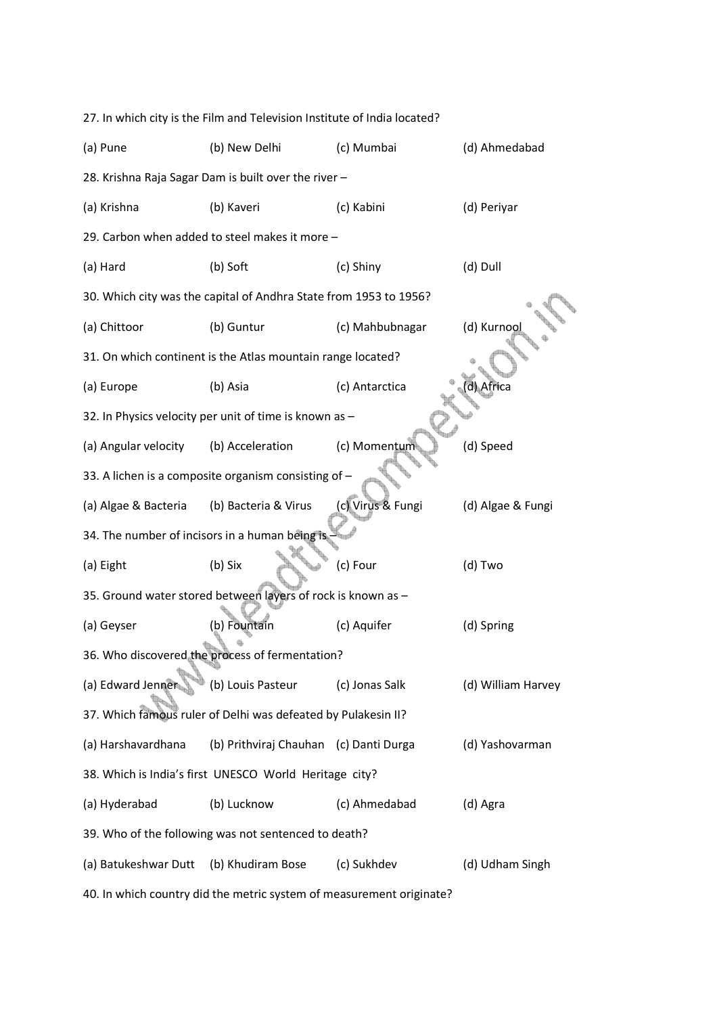| 27. In which city is the Film and Television Institute of India located? |                                                                   |                   |                    |  |  |  |
|--------------------------------------------------------------------------|-------------------------------------------------------------------|-------------------|--------------------|--|--|--|
| (a) Pune                                                                 | (b) New Delhi                                                     | (c) Mumbai        | (d) Ahmedabad      |  |  |  |
|                                                                          | 28. Krishna Raja Sagar Dam is built over the river -              |                   |                    |  |  |  |
| (a) Krishna                                                              | (b) Kaveri                                                        | (c) Kabini        | (d) Periyar        |  |  |  |
|                                                                          | 29. Carbon when added to steel makes it more -                    |                   |                    |  |  |  |
| (a) Hard                                                                 | (b) Soft                                                          | (c) Shiny         | (d) Dull           |  |  |  |
|                                                                          | 30. Which city was the capital of Andhra State from 1953 to 1956? |                   |                    |  |  |  |
| (a) Chittoor                                                             | (b) Guntur                                                        | (c) Mahbubnagar   | (d) Kurnool        |  |  |  |
|                                                                          | 31. On which continent is the Atlas mountain range located?       |                   |                    |  |  |  |
| (a) Europe                                                               | (b) Asia                                                          | (c) Antarctica    | d) Africa          |  |  |  |
|                                                                          | 32. In Physics velocity per unit of time is known as -            |                   |                    |  |  |  |
| (a) Angular velocity                                                     | (b) Acceleration                                                  | (c) Momentum      | (d) Speed          |  |  |  |
| 33. A lichen is a composite organism consisting of -                     |                                                                   |                   |                    |  |  |  |
| (a) Algae & Bacteria                                                     | (b) Bacteria & Virus                                              | (c) Virus & Fungi | (d) Algae & Fungi  |  |  |  |
| 34. The number of incisors in a human being is                           |                                                                   |                   |                    |  |  |  |
| (a) Eight                                                                | (b) Six                                                           | (c) Four          | (d) Two            |  |  |  |
|                                                                          | 35. Ground water stored between layers of rock is known as -      |                   |                    |  |  |  |
| (a) Geyser                                                               | (b) Fountain                                                      | (c) Aquifer       | (d) Spring         |  |  |  |
|                                                                          | 36. Who discovered the process of fermentation?                   |                   |                    |  |  |  |
| (a) Edward Jenner                                                        | (b) Louis Pasteur                                                 | (c) Jonas Salk    | (d) William Harvey |  |  |  |
|                                                                          | 37. Which famous ruler of Delhi was defeated by Pulakesin II?     |                   |                    |  |  |  |
| (a) Harshavardhana                                                       | (b) Prithviraj Chauhan (c) Danti Durga                            |                   | (d) Yashovarman    |  |  |  |
|                                                                          | 38. Which is India's first UNESCO World Heritage city?            |                   |                    |  |  |  |
| (a) Hyderabad                                                            | (b) Lucknow                                                       | (c) Ahmedabad     | (d) Agra           |  |  |  |
|                                                                          | 39. Who of the following was not sentenced to death?              |                   |                    |  |  |  |
| (a) Batukeshwar Dutt                                                     | (b) Khudiram Bose                                                 | (c) Sukhdev       | (d) Udham Singh    |  |  |  |
| 40. In which country did the metric system of measurement originate?     |                                                                   |                   |                    |  |  |  |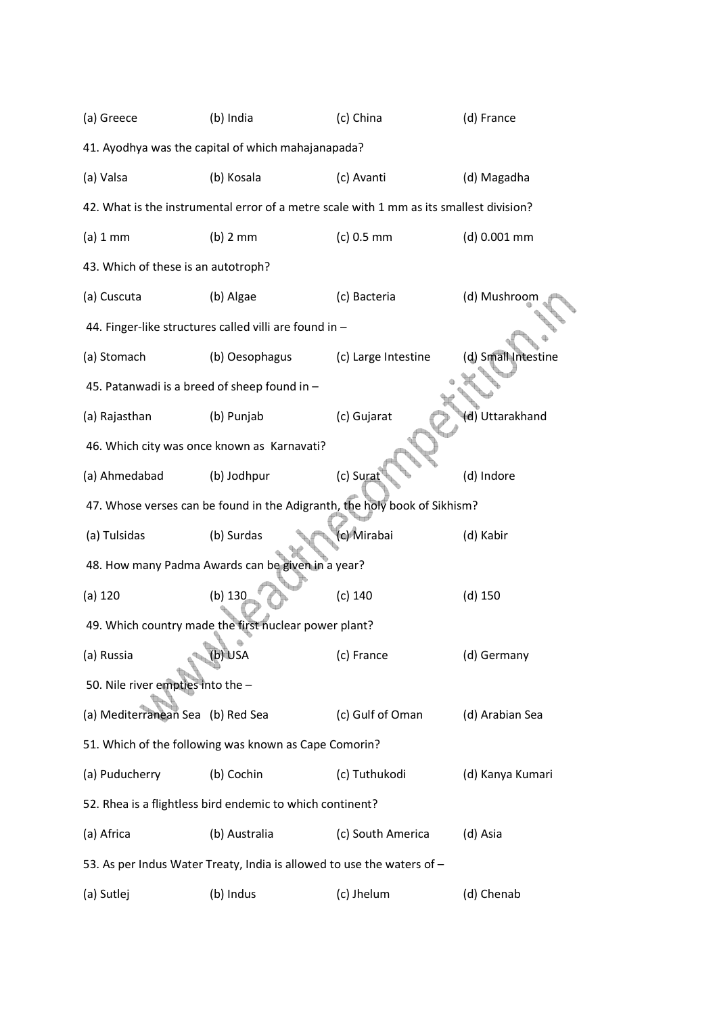| (a) Greece                                                                | (b) India                                                              | (c) China                                                                               | (d) France          |  |  |  |
|---------------------------------------------------------------------------|------------------------------------------------------------------------|-----------------------------------------------------------------------------------------|---------------------|--|--|--|
|                                                                           | 41. Ayodhya was the capital of which mahajanapada?                     |                                                                                         |                     |  |  |  |
| (a) Valsa                                                                 | (b) Kosala                                                             | (c) Avanti                                                                              | (d) Magadha         |  |  |  |
|                                                                           |                                                                        | 42. What is the instrumental error of a metre scale with 1 mm as its smallest division? |                     |  |  |  |
| (a) 1 mm                                                                  | $(b)$ 2 mm                                                             | $(c) 0.5$ mm                                                                            | (d) 0.001 mm        |  |  |  |
| 43. Which of these is an autotroph?                                       |                                                                        |                                                                                         |                     |  |  |  |
| (a) Cuscuta                                                               | (b) Algae                                                              | (c) Bacteria                                                                            | (d) Mushroom        |  |  |  |
|                                                                           | 44. Finger-like structures called villi are found in -                 |                                                                                         |                     |  |  |  |
| (a) Stomach                                                               | (b) Oesophagus                                                         | (c) Large Intestine                                                                     | (d) Small Intestine |  |  |  |
| 45. Patanwadi is a breed of sheep found in -                              |                                                                        |                                                                                         |                     |  |  |  |
| (a) Rajasthan                                                             | (b) Punjab                                                             | (c) Gujarat                                                                             | (d) Uttarakhand     |  |  |  |
|                                                                           | 46. Which city was once known as Karnavati?                            |                                                                                         |                     |  |  |  |
| (a) Ahmedabad                                                             | (b) Jodhpur                                                            | (c) Surat                                                                               | (d) Indore          |  |  |  |
| 47. Whose verses can be found in the Adigranth, the holy book of Sikhism? |                                                                        |                                                                                         |                     |  |  |  |
| (a) Tulsidas                                                              | (b) Surdas                                                             | (c) Mirabai                                                                             | (d) Kabir           |  |  |  |
|                                                                           | 48. How many Padma Awards can be given in a year?                      |                                                                                         |                     |  |  |  |
| (a) 120                                                                   | $(b)$ 130                                                              | (c) 140                                                                                 | $(d)$ 150           |  |  |  |
|                                                                           | 49. Which country made the first nuclear power plant?                  |                                                                                         |                     |  |  |  |
| (a) Russia                                                                | (b) USA                                                                | (c) France                                                                              | (d) Germany         |  |  |  |
| 50. Nile river empties into the -                                         |                                                                        |                                                                                         |                     |  |  |  |
| (a) Mediterranean Sea (b) Red Sea                                         |                                                                        | (c) Gulf of Oman                                                                        | (d) Arabian Sea     |  |  |  |
|                                                                           | 51. Which of the following was known as Cape Comorin?                  |                                                                                         |                     |  |  |  |
| (a) Puducherry                                                            | (b) Cochin                                                             | (c) Tuthukodi                                                                           | (d) Kanya Kumari    |  |  |  |
|                                                                           | 52. Rhea is a flightless bird endemic to which continent?              |                                                                                         |                     |  |  |  |
| (a) Africa                                                                | (b) Australia                                                          | (c) South America                                                                       | (d) Asia            |  |  |  |
|                                                                           | 53. As per Indus Water Treaty, India is allowed to use the waters of - |                                                                                         |                     |  |  |  |
| (a) Sutlej                                                                | (b) Indus                                                              | (c) Jhelum                                                                              | (d) Chenab          |  |  |  |
|                                                                           |                                                                        |                                                                                         |                     |  |  |  |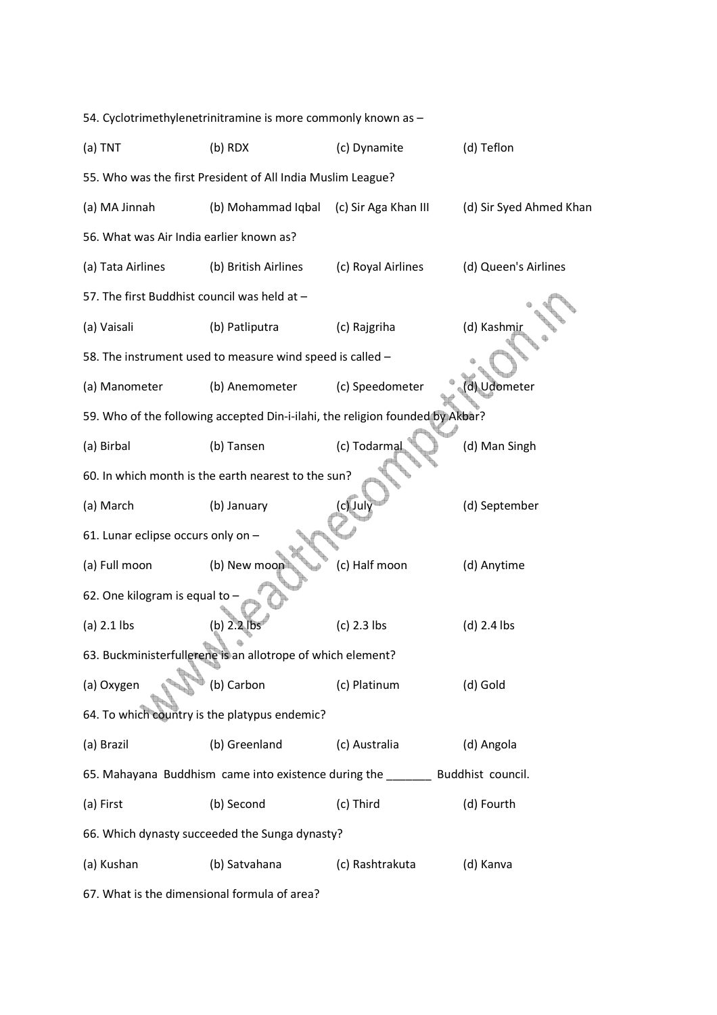| 54. Cyclotrimethylenetrinitramine is more commonly known as - |                                                             |                                                                                  |                         |  |  |  |  |
|---------------------------------------------------------------|-------------------------------------------------------------|----------------------------------------------------------------------------------|-------------------------|--|--|--|--|
| $(a)$ TNT                                                     | $(b)$ RDX                                                   | (c) Dynamite                                                                     | (d) Teflon              |  |  |  |  |
| 55. Who was the first President of All India Muslim League?   |                                                             |                                                                                  |                         |  |  |  |  |
| (a) MA Jinnah                                                 | (b) Mohammad Iqbal                                          | (c) Sir Aga Khan III                                                             | (d) Sir Syed Ahmed Khan |  |  |  |  |
| 56. What was Air India earlier known as?                      |                                                             |                                                                                  |                         |  |  |  |  |
| (a) Tata Airlines                                             | (b) British Airlines                                        | (c) Royal Airlines                                                               | (d) Queen's Airlines    |  |  |  |  |
| 57. The first Buddhist council was held at -                  |                                                             |                                                                                  |                         |  |  |  |  |
| (a) Vaisali                                                   | (b) Patliputra                                              | (c) Rajgriha                                                                     | (d) Kashmir             |  |  |  |  |
|                                                               | 58. The instrument used to measure wind speed is called -   |                                                                                  |                         |  |  |  |  |
| (a) Manometer                                                 | (b) Anemometer                                              | (c) Speedometer                                                                  | (d) Udometer            |  |  |  |  |
|                                                               |                                                             | 59. Who of the following accepted Din-i-ilahi, the religion founded by Akbar?    |                         |  |  |  |  |
| (a) Birbal                                                    | (b) Tansen                                                  | (c) Todarmal                                                                     | (d) Man Singh           |  |  |  |  |
|                                                               | 60. In which month is the earth nearest to the sun?         |                                                                                  |                         |  |  |  |  |
| (a) March                                                     | (b) January                                                 | (c) July                                                                         | (d) September           |  |  |  |  |
| 61. Lunar eclipse occurs only on -                            |                                                             |                                                                                  |                         |  |  |  |  |
| (a) Full moon                                                 | (b) New moon                                                | (c) Half moon                                                                    | (d) Anytime             |  |  |  |  |
| 62. One kilogram is equal to -                                |                                                             |                                                                                  |                         |  |  |  |  |
| $(a)$ 2.1 lbs                                                 | (b) 2.2                                                     | $(c)$ 2.3 lbs                                                                    | $(d)$ 2.4 lbs           |  |  |  |  |
|                                                               | 63. Buckministerfullerene is an allotrope of which element? |                                                                                  |                         |  |  |  |  |
| (a) Oxygen                                                    | (b) Carbon                                                  | (c) Platinum                                                                     | (d) Gold                |  |  |  |  |
| 64. To which country is the platypus endemic?                 |                                                             |                                                                                  |                         |  |  |  |  |
| (a) Brazil                                                    | (b) Greenland                                               | (c) Australia                                                                    | (d) Angola              |  |  |  |  |
|                                                               |                                                             | 65. Mahayana Buddhism came into existence during the _________ Buddhist council. |                         |  |  |  |  |
| (a) First                                                     | (b) Second                                                  | (c) Third                                                                        | (d) Fourth              |  |  |  |  |
|                                                               | 66. Which dynasty succeeded the Sunga dynasty?              |                                                                                  |                         |  |  |  |  |
| (a) Kushan                                                    | (b) Satvahana                                               | (c) Rashtrakuta                                                                  | (d) Kanva               |  |  |  |  |

67. What is the dimensional formula of area?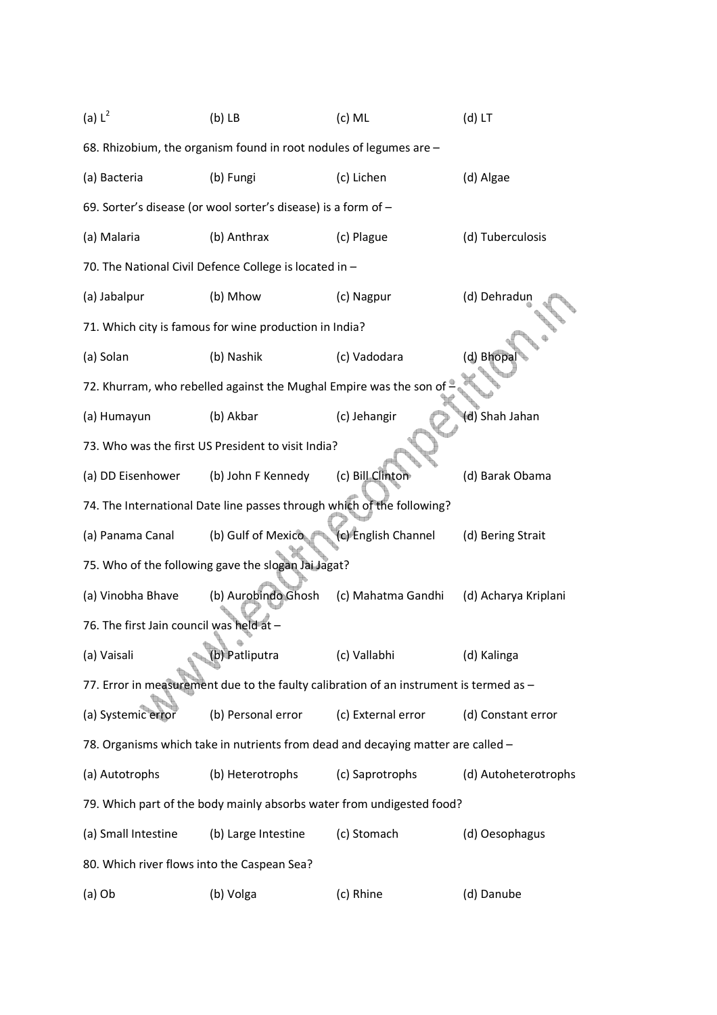| (a) $L^2$                                   | $(b)$ LB                                                               | $(c)$ ML                                                                               | $(d)$ LT             |
|---------------------------------------------|------------------------------------------------------------------------|----------------------------------------------------------------------------------------|----------------------|
|                                             | 68. Rhizobium, the organism found in root nodules of legumes are -     |                                                                                        |                      |
| (a) Bacteria                                | (b) Fungi                                                              | (c) Lichen                                                                             | (d) Algae            |
|                                             | 69. Sorter's disease (or wool sorter's disease) is a form of -         |                                                                                        |                      |
| (a) Malaria                                 | (b) Anthrax                                                            | (c) Plague                                                                             | (d) Tuberculosis     |
|                                             | 70. The National Civil Defence College is located in -                 |                                                                                        |                      |
| (a) Jabalpur                                | (b) Mhow                                                               | (c) Nagpur                                                                             | (d) Dehradun         |
|                                             | 71. Which city is famous for wine production in India?                 |                                                                                        |                      |
| (a) Solan                                   | (b) Nashik                                                             | (c) Vadodara                                                                           | (d) Bhopal           |
|                                             | 72. Khurram, who rebelled against the Mughal Empire was the son of     |                                                                                        |                      |
| (a) Humayun                                 | (b) Akbar                                                              | (c) Jehangir                                                                           | (d) Shah Jahan       |
|                                             | 73. Who was the first US President to visit India?                     |                                                                                        |                      |
| (a) DD Eisenhower                           | (b) John F Kennedy                                                     | (c) Bill Clinton                                                                       | (d) Barak Obama      |
|                                             | 74. The International Date line passes through which of the following? |                                                                                        |                      |
| (a) Panama Canal                            | (b) Gulf of Mexico                                                     | (c) English Channel                                                                    | (d) Bering Strait    |
|                                             | 75. Who of the following gave the slogan Jai Jagat?                    |                                                                                        |                      |
| (a) Vinobha Bhave                           | (b) Aurobindo Ghosh                                                    | (c) Mahatma Gandhi                                                                     | (d) Acharya Kriplani |
| 76. The first Jain council was held at -    |                                                                        |                                                                                        |                      |
| (a) Vaisali                                 | (b) Patliputra                                                         | (c) Vallabhi                                                                           | (d) Kalinga          |
|                                             |                                                                        | 77. Error in measurement due to the faulty calibration of an instrument is termed as - |                      |
| (a) Systemic error                          | (b) Personal error                                                     | (c) External error                                                                     | (d) Constant error   |
|                                             |                                                                        | 78. Organisms which take in nutrients from dead and decaying matter are called -       |                      |
| (a) Autotrophs                              | (b) Heterotrophs                                                       | (c) Saprotrophs                                                                        | (d) Autoheterotrophs |
|                                             |                                                                        | 79. Which part of the body mainly absorbs water from undigested food?                  |                      |
| (a) Small Intestine                         | (b) Large Intestine                                                    | (c) Stomach                                                                            | (d) Oesophagus       |
| 80. Which river flows into the Caspean Sea? |                                                                        |                                                                                        |                      |
| $(a)$ Ob                                    | (b) Volga                                                              | (c) Rhine                                                                              | (d) Danube           |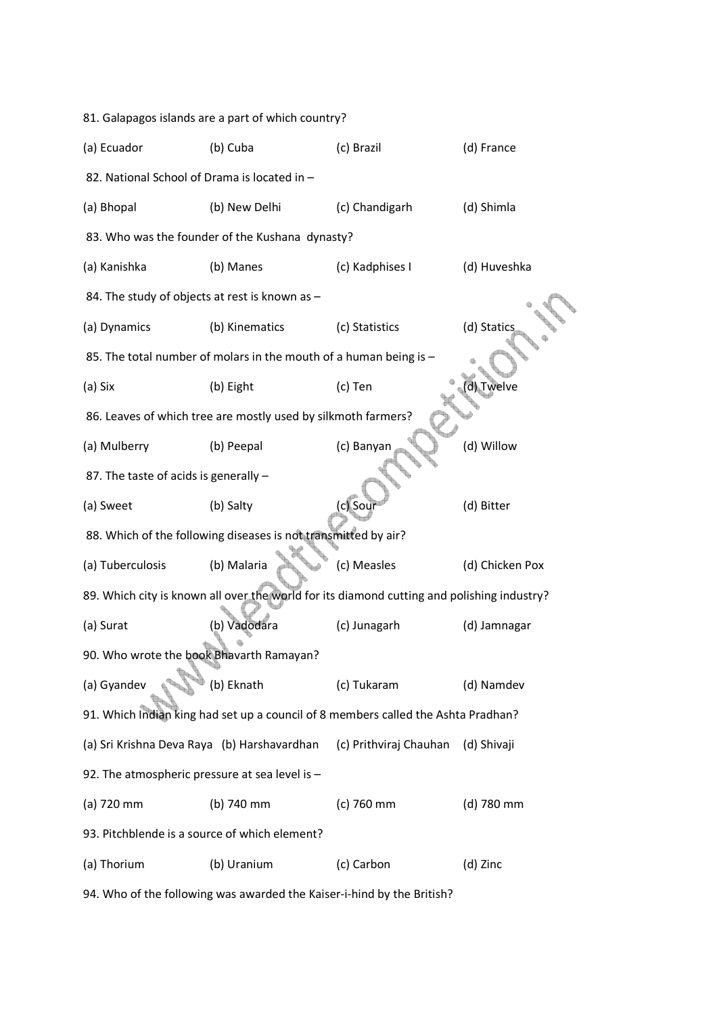| 81. Galapagos islands are a part of which country? |                                                                                            |                        |                 |  |  |  |
|----------------------------------------------------|--------------------------------------------------------------------------------------------|------------------------|-----------------|--|--|--|
| (a) Ecuador                                        | (b) Cuba                                                                                   | (c) Brazil             | (d) France      |  |  |  |
| 82. National School of Drama is located in -       |                                                                                            |                        |                 |  |  |  |
| (a) Bhopal                                         | (b) New Delhi                                                                              | (c) Chandigarh         | (d) Shimla      |  |  |  |
|                                                    | 83. Who was the founder of the Kushana dynasty?                                            |                        |                 |  |  |  |
| (a) Kanishka                                       | (b) Manes                                                                                  | (c) Kadphises I        | (d) Huveshka    |  |  |  |
| 84. The study of objects at rest is known as -     |                                                                                            |                        |                 |  |  |  |
| (a) Dynamics                                       | (b) Kinematics                                                                             | (c) Statistics         | (d) Statics     |  |  |  |
|                                                    | 85. The total number of molars in the mouth of a human being is -                          |                        |                 |  |  |  |
| (a) Six                                            | (b) Eight                                                                                  | (c) Ten                | d) Twelve       |  |  |  |
|                                                    | 86. Leaves of which tree are mostly used by silkmoth farmers?                              |                        |                 |  |  |  |
| (a) Mulberry                                       | (b) Peepal                                                                                 | (c) Banyan             | (d) Willow      |  |  |  |
| 87. The taste of acids is generally -              |                                                                                            |                        |                 |  |  |  |
| (a) Sweet                                          | (b) Salty                                                                                  | c) Sour                | (d) Bitter      |  |  |  |
|                                                    | 88. Which of the following diseases is not transmitted by air?                             |                        |                 |  |  |  |
| (a) Tuberculosis                                   | (b) Malaria                                                                                | (c) Measles            | (d) Chicken Pox |  |  |  |
|                                                    | 89. Which city is known all over the world for its diamond cutting and polishing industry? |                        |                 |  |  |  |
| (a) Surat                                          | (b) Vadodara                                                                               | (c) Junagarh           | (d) Jamnagar    |  |  |  |
| 90. Who wrote the book Bhavarth Ramayan?           |                                                                                            |                        |                 |  |  |  |
| (a) Gyandev                                        | (b) Eknath                                                                                 | (c) Tukaram            | (d) Namdev      |  |  |  |
|                                                    | 91. Which Indian king had set up a council of 8 members called the Ashta Pradhan?          |                        |                 |  |  |  |
| (a) Sri Krishna Deva Raya (b) Harshavardhan        |                                                                                            | (c) Prithviraj Chauhan | (d) Shivaji     |  |  |  |
| 92. The atmospheric pressure at sea level is -     |                                                                                            |                        |                 |  |  |  |
| (a) 720 mm                                         | (b) 740 mm                                                                                 | (c) 760 mm             | (d) 780 mm      |  |  |  |
| 93. Pitchblende is a source of which element?      |                                                                                            |                        |                 |  |  |  |
| (a) Thorium                                        | (b) Uranium                                                                                | (c) Carbon             | (d) Zinc        |  |  |  |

94. Who of the following was awarded the Kaiser-i-hind by the British?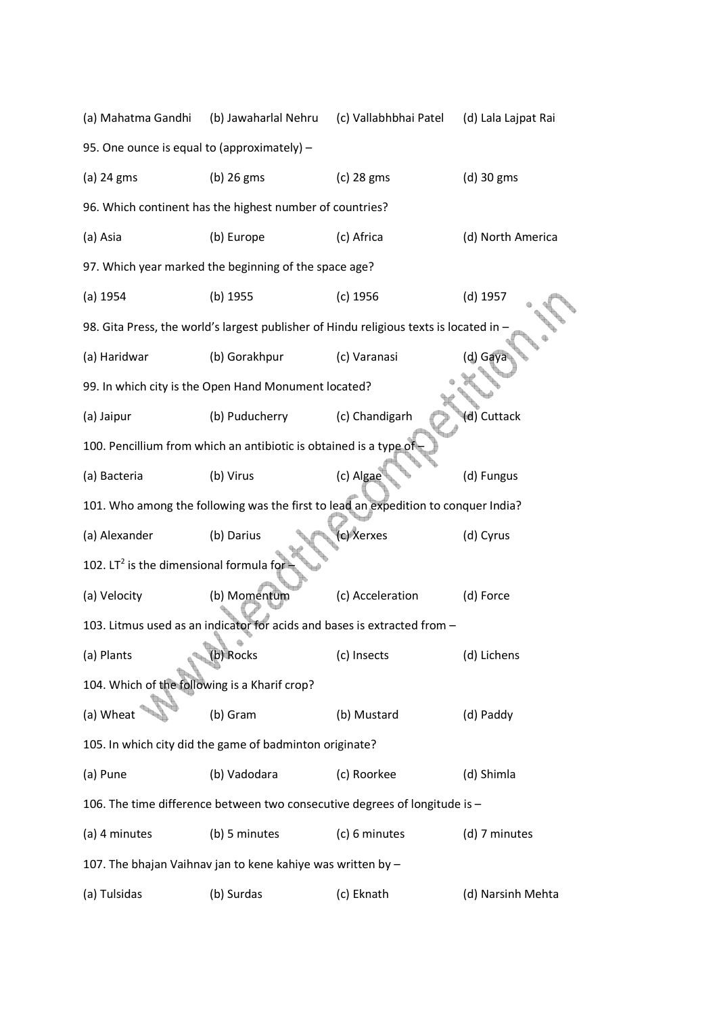| (a) Mahatma Gandhi                                                                 | (b) Jawaharlal Nehru                                              | (c) Vallabhbhai Patel                                                                | (d) Lala Lajpat Rai |  |  |  |
|------------------------------------------------------------------------------------|-------------------------------------------------------------------|--------------------------------------------------------------------------------------|---------------------|--|--|--|
| 95. One ounce is equal to (approximately) -                                        |                                                                   |                                                                                      |                     |  |  |  |
| (a) 24 gms                                                                         | $(b)$ 26 gms                                                      | (c) 28 gms                                                                           | (d) 30 gms          |  |  |  |
|                                                                                    | 96. Which continent has the highest number of countries?          |                                                                                      |                     |  |  |  |
| (a) Asia                                                                           | (b) Europe                                                        | (c) Africa                                                                           | (d) North America   |  |  |  |
|                                                                                    | 97. Which year marked the beginning of the space age?             |                                                                                      |                     |  |  |  |
| $(a)$ 1954                                                                         | (b) 1955                                                          | $(c)$ 1956                                                                           | $(d)$ 1957          |  |  |  |
|                                                                                    |                                                                   | 98. Gita Press, the world's largest publisher of Hindu religious texts is located in |                     |  |  |  |
| (a) Haridwar                                                                       | (b) Gorakhpur                                                     | (c) Varanasi                                                                         | (d) Gay             |  |  |  |
|                                                                                    | 99. In which city is the Open Hand Monument located?              |                                                                                      |                     |  |  |  |
| (a) Jaipur                                                                         | (b) Puducherry                                                    | (c) Chandigarh                                                                       | (d) Cuttack         |  |  |  |
|                                                                                    | 100. Pencillium from which an antibiotic is obtained is a type of |                                                                                      |                     |  |  |  |
| (a) Bacteria                                                                       | (b) Virus                                                         | (c) Algae                                                                            | (d) Fungus          |  |  |  |
| 101. Who among the following was the first to lead an expedition to conquer India? |                                                                   |                                                                                      |                     |  |  |  |
| (a) Alexander                                                                      | (b) Darius                                                        | c) Xerxes                                                                            | (d) Cyrus           |  |  |  |
| 102. LT <sup>2</sup> is the dimensional formula for                                |                                                                   |                                                                                      |                     |  |  |  |
| (a) Velocity                                                                       | (b) Momentum                                                      | (c) Acceleration                                                                     | (d) Force           |  |  |  |
|                                                                                    |                                                                   | 103. Litmus used as an indicator for acids and bases is extracted from -             |                     |  |  |  |
| (a) Plants                                                                         | (b) Rocks                                                         | (c) Insects                                                                          | (d) Lichens         |  |  |  |
| 104. Which of the following is a Kharif crop?                                      |                                                                   |                                                                                      |                     |  |  |  |
| (a) Wheat                                                                          | (b) Gram                                                          | (b) Mustard                                                                          | (d) Paddy           |  |  |  |
|                                                                                    | 105. In which city did the game of badminton originate?           |                                                                                      |                     |  |  |  |
| (a) Pune                                                                           | (b) Vadodara                                                      | (c) Roorkee                                                                          | (d) Shimla          |  |  |  |
|                                                                                    |                                                                   | 106. The time difference between two consecutive degrees of longitude is -           |                     |  |  |  |
| (a) 4 minutes                                                                      | (b) 5 minutes                                                     | (c) 6 minutes                                                                        | (d) 7 minutes       |  |  |  |
|                                                                                    | 107. The bhajan Vaihnav jan to kene kahiye was written by -       |                                                                                      |                     |  |  |  |
| (a) Tulsidas                                                                       | (b) Surdas                                                        | (c) Eknath                                                                           | (d) Narsinh Mehta   |  |  |  |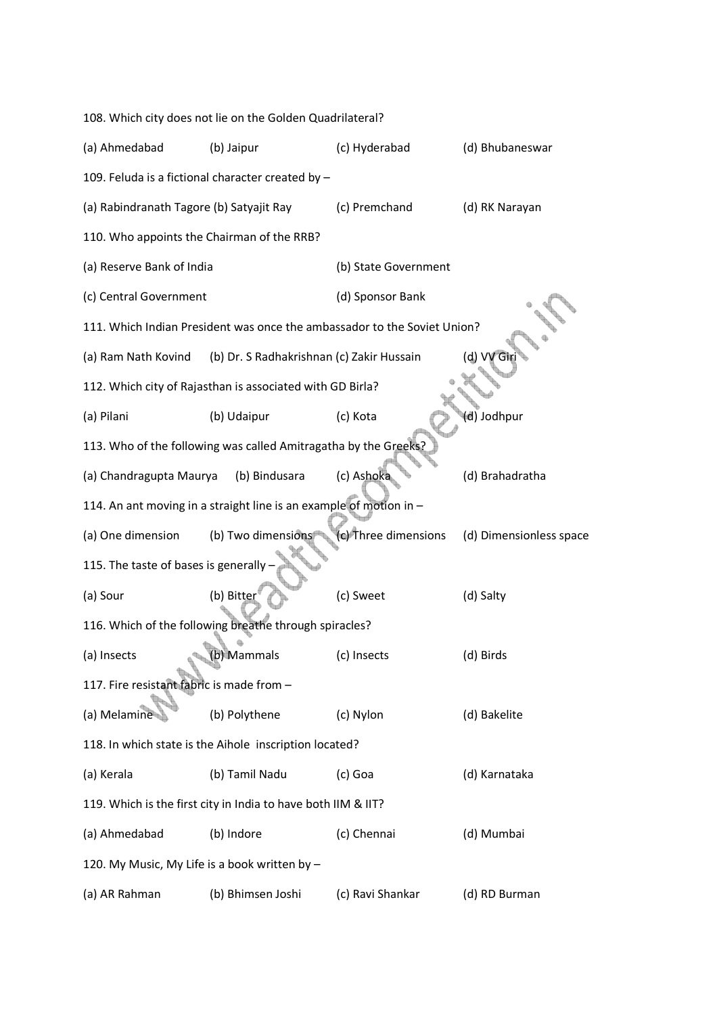|                                               | 108. Which city does not lie on the Golden Quadrilateral?                |                      |                         |
|-----------------------------------------------|--------------------------------------------------------------------------|----------------------|-------------------------|
| (a) Ahmedabad                                 | (b) Jaipur                                                               | (c) Hyderabad        | (d) Bhubaneswar         |
|                                               | 109. Feluda is a fictional character created by -                        |                      |                         |
| (a) Rabindranath Tagore (b) Satyajit Ray      |                                                                          | (c) Premchand        | (d) RK Narayan          |
| 110. Who appoints the Chairman of the RRB?    |                                                                          |                      |                         |
| (a) Reserve Bank of India                     |                                                                          | (b) State Government |                         |
| (c) Central Government                        |                                                                          | (d) Sponsor Bank     |                         |
|                                               | 111. Which Indian President was once the ambassador to the Soviet Union? |                      |                         |
| (a) Ram Nath Kovind                           | (b) Dr. S Radhakrishnan (c) Zakir Hussain                                |                      | (d) VV Gi               |
|                                               | 112. Which city of Rajasthan is associated with GD Birla?                |                      |                         |
| (a) Pilani                                    | (b) Udaipur                                                              | (c) Kota             | (d) Jodhpur             |
|                                               | 113. Who of the following was called Amitragatha by the Greeks?          |                      |                         |
| (a) Chandragupta Maurya                       | (b) Bindusara                                                            | (c) Ashoka           | (d) Brahadratha         |
|                                               | 114. An ant moving in a straight line is an example of motion in -       |                      |                         |
| (a) One dimension                             | (b) Two dimensions                                                       | (c) Three dimensions | (d) Dimensionless space |
| 115. The taste of bases is generally          |                                                                          |                      |                         |
| (a) Sour                                      | (b) Bitter                                                               | (c) Sweet            | (d) Salty               |
|                                               | 116. Which of the following breathe through spiracles?                   |                      |                         |
| (a) Insects                                   | (b) Mammals                                                              | (c) Insects          | (d) Birds               |
| 117. Fire resistant fabric is made from -     |                                                                          |                      |                         |
| (a) Melamine                                  | (b) Polythene                                                            | (c) Nylon            | (d) Bakelite            |
|                                               | 118. In which state is the Aihole inscription located?                   |                      |                         |
| (a) Kerala                                    | (b) Tamil Nadu                                                           | (c) Goa              | (d) Karnataka           |
|                                               | 119. Which is the first city in India to have both IIM & IIT?            |                      |                         |
| (a) Ahmedabad                                 | (b) Indore                                                               | (c) Chennai          | (d) Mumbai              |
| 120. My Music, My Life is a book written by - |                                                                          |                      |                         |
| (a) AR Rahman                                 | (b) Bhimsen Joshi                                                        | (c) Ravi Shankar     | (d) RD Burman           |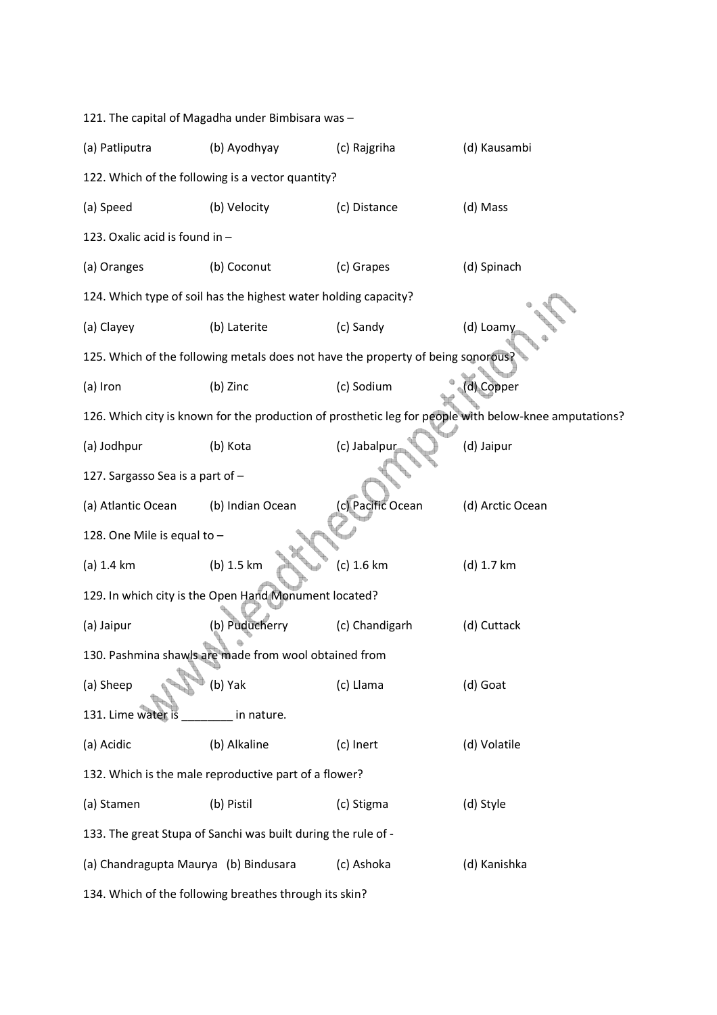| 121. The capital of Magadha under Bimbisara was -               |                                                       |                                                                                  |                                                                                                       |  |  |  |  |  |
|-----------------------------------------------------------------|-------------------------------------------------------|----------------------------------------------------------------------------------|-------------------------------------------------------------------------------------------------------|--|--|--|--|--|
| (a) Patliputra                                                  | (b) Ayodhyay                                          | (c) Rajgriha                                                                     | (d) Kausambi                                                                                          |  |  |  |  |  |
| 122. Which of the following is a vector quantity?               |                                                       |                                                                                  |                                                                                                       |  |  |  |  |  |
| (a) Speed                                                       | (b) Velocity                                          | (c) Distance                                                                     | (d) Mass                                                                                              |  |  |  |  |  |
| 123. Oxalic acid is found in -                                  |                                                       |                                                                                  |                                                                                                       |  |  |  |  |  |
| (a) Oranges                                                     | (b) Coconut                                           | (c) Grapes                                                                       | (d) Spinach                                                                                           |  |  |  |  |  |
| 124. Which type of soil has the highest water holding capacity? |                                                       |                                                                                  |                                                                                                       |  |  |  |  |  |
| (a) Clayey                                                      | (b) Laterite                                          | (c) Sandy                                                                        | (d) Loamy                                                                                             |  |  |  |  |  |
|                                                                 |                                                       | 125. Which of the following metals does not have the property of being sonorous? |                                                                                                       |  |  |  |  |  |
| (a) Iron                                                        | (b) Zinc                                              | (c) Sodium                                                                       | (d) Copper                                                                                            |  |  |  |  |  |
|                                                                 |                                                       |                                                                                  | 126. Which city is known for the production of prosthetic leg for people with below-knee amputations? |  |  |  |  |  |
| (a) Jodhpur                                                     | (b) Kota                                              | (c) Jabalpur                                                                     | (d) Jaipur                                                                                            |  |  |  |  |  |
| 127. Sargasso Sea is a part of -                                |                                                       |                                                                                  |                                                                                                       |  |  |  |  |  |
| (a) Atlantic Ocean                                              | (b) Indian Ocean                                      | (c) Pacific Ocean                                                                | (d) Arctic Ocean                                                                                      |  |  |  |  |  |
| 128. One Mile is equal to -                                     |                                                       |                                                                                  |                                                                                                       |  |  |  |  |  |
| $(a)$ 1.4 km                                                    | (b) 1.5 km                                            | (c) 1.6 km                                                                       | (d) 1.7 km                                                                                            |  |  |  |  |  |
|                                                                 | 129. In which city is the Open Hand Monument located? |                                                                                  |                                                                                                       |  |  |  |  |  |
| (a) Jaipur                                                      | (b) Puducherry                                        | (c) Chandigarh                                                                   | (d) Cuttack                                                                                           |  |  |  |  |  |
|                                                                 | 130. Pashmina shawls are made from wool obtained from |                                                                                  |                                                                                                       |  |  |  |  |  |
| (a) Sheep                                                       | (b) Yak                                               | (c) Llama                                                                        | (d) Goat                                                                                              |  |  |  |  |  |
| 131. Lime water is                                              | in nature.                                            |                                                                                  |                                                                                                       |  |  |  |  |  |
| (a) Acidic                                                      | (b) Alkaline                                          | (c) Inert                                                                        | (d) Volatile                                                                                          |  |  |  |  |  |
|                                                                 | 132. Which is the male reproductive part of a flower? |                                                                                  |                                                                                                       |  |  |  |  |  |
| (a) Stamen                                                      | (b) Pistil                                            | (c) Stigma                                                                       | (d) Style                                                                                             |  |  |  |  |  |
| 133. The great Stupa of Sanchi was built during the rule of -   |                                                       |                                                                                  |                                                                                                       |  |  |  |  |  |
| (a) Chandragupta Maurya (b) Bindusara                           |                                                       | (c) Ashoka                                                                       | (d) Kanishka                                                                                          |  |  |  |  |  |
| 134. Which of the following breathes through its skin?          |                                                       |                                                                                  |                                                                                                       |  |  |  |  |  |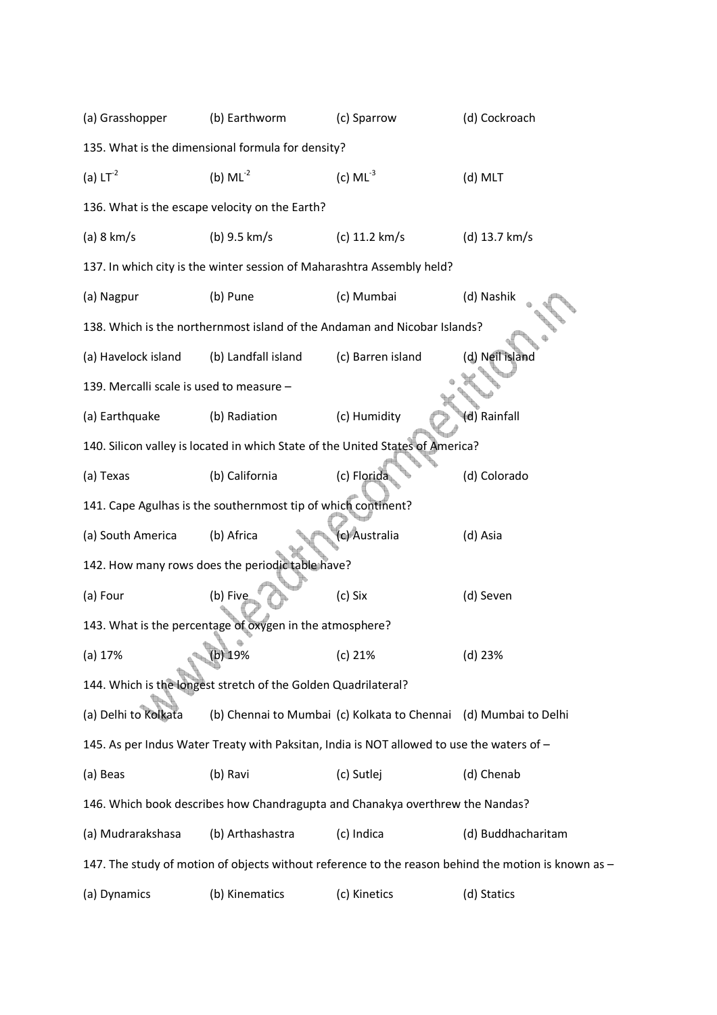| (a) Grasshopper                                   | (b) Earthworm                                                          | (c) Sparrow                                                                               | (d) Cockroach                                                                                       |  |  |  |  |  |
|---------------------------------------------------|------------------------------------------------------------------------|-------------------------------------------------------------------------------------------|-----------------------------------------------------------------------------------------------------|--|--|--|--|--|
| 135. What is the dimensional formula for density? |                                                                        |                                                                                           |                                                                                                     |  |  |  |  |  |
| (a) $LT^{-2}$                                     | (b) $ML^{-2}$                                                          | (c) $ML^{-3}$                                                                             | (d) MLT                                                                                             |  |  |  |  |  |
| 136. What is the escape velocity on the Earth?    |                                                                        |                                                                                           |                                                                                                     |  |  |  |  |  |
| (a) 8 km/s                                        | (b) $9.5 \, \text{km/s}$                                               | (c) $11.2 \text{ km/s}$                                                                   | (d) 13.7 km/s                                                                                       |  |  |  |  |  |
|                                                   | 137. In which city is the winter session of Maharashtra Assembly held? |                                                                                           |                                                                                                     |  |  |  |  |  |
| (a) Nagpur                                        | (b) Pune                                                               | (c) Mumbai                                                                                | (d) Nashik                                                                                          |  |  |  |  |  |
|                                                   |                                                                        | 138. Which is the northernmost island of the Andaman and Nicobar Islands?                 |                                                                                                     |  |  |  |  |  |
| (a) Havelock island                               | (b) Landfall island                                                    | (c) Barren island                                                                         | (d) Neil island                                                                                     |  |  |  |  |  |
| 139. Mercalli scale is used to measure -          |                                                                        |                                                                                           |                                                                                                     |  |  |  |  |  |
| (a) Earthquake                                    | (b) Radiation                                                          | (c) Humidity                                                                              | d) Rainfall                                                                                         |  |  |  |  |  |
|                                                   |                                                                        | 140. Silicon valley is located in which State of the United States of America?            |                                                                                                     |  |  |  |  |  |
| (a) Texas                                         | (b) California                                                         | (c) Florida                                                                               | (d) Colorado                                                                                        |  |  |  |  |  |
|                                                   | 141. Cape Agulhas is the southernmost tip of which continent?          |                                                                                           |                                                                                                     |  |  |  |  |  |
| (a) South America                                 | (b) Africa                                                             | (c) Australia                                                                             | (d) Asia                                                                                            |  |  |  |  |  |
|                                                   | 142. How many rows does the periodic table have?                       |                                                                                           |                                                                                                     |  |  |  |  |  |
| (a) Four                                          | (b) Five                                                               | (c) Six                                                                                   | (d) Seven                                                                                           |  |  |  |  |  |
|                                                   | 143. What is the percentage of oxygen in the atmosphere?               |                                                                                           |                                                                                                     |  |  |  |  |  |
| (a) 17%                                           | $(b)$ 19%                                                              | (c) 21%                                                                                   | (d) 23%                                                                                             |  |  |  |  |  |
|                                                   | 144. Which is the longest stretch of the Golden Quadrilateral?         |                                                                                           |                                                                                                     |  |  |  |  |  |
| (a) Delhi to Kolkata                              |                                                                        | (b) Chennai to Mumbai (c) Kolkata to Chennai (d) Mumbai to Delhi                          |                                                                                                     |  |  |  |  |  |
|                                                   |                                                                        | 145. As per Indus Water Treaty with Paksitan, India is NOT allowed to use the waters of - |                                                                                                     |  |  |  |  |  |
| (a) Beas                                          | (b) Ravi                                                               | (c) Sutlej                                                                                | (d) Chenab                                                                                          |  |  |  |  |  |
|                                                   |                                                                        | 146. Which book describes how Chandragupta and Chanakya overthrew the Nandas?             |                                                                                                     |  |  |  |  |  |
| (a) Mudrarakshasa                                 | (b) Arthashastra                                                       | (c) Indica                                                                                | (d) Buddhacharitam                                                                                  |  |  |  |  |  |
|                                                   |                                                                        |                                                                                           | 147. The study of motion of objects without reference to the reason behind the motion is known as - |  |  |  |  |  |
| (a) Dynamics                                      | (b) Kinematics                                                         | (c) Kinetics                                                                              | (d) Statics                                                                                         |  |  |  |  |  |